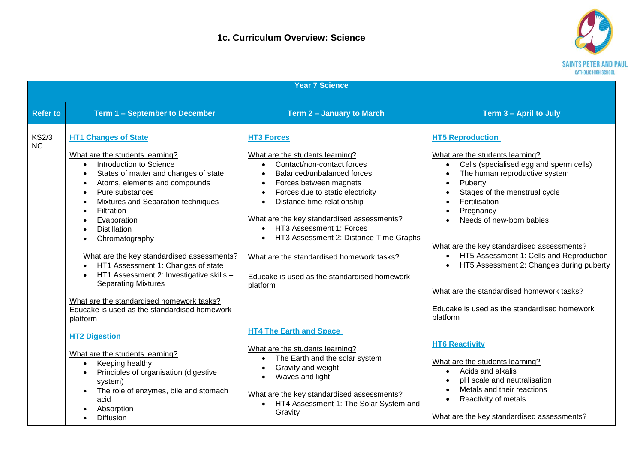

| <b>Year 7 Science</b>     |                                                                                                                                                                                                                                                                                                                                                                                                                                                                                                                                                                                                                                            |                                                                                                                                                                                                                                                                                                                                                                                                                                                                                          |                                                                                                                                                                                                                                                                                                                                                                                                                                                                                                                                                              |  |
|---------------------------|--------------------------------------------------------------------------------------------------------------------------------------------------------------------------------------------------------------------------------------------------------------------------------------------------------------------------------------------------------------------------------------------------------------------------------------------------------------------------------------------------------------------------------------------------------------------------------------------------------------------------------------------|------------------------------------------------------------------------------------------------------------------------------------------------------------------------------------------------------------------------------------------------------------------------------------------------------------------------------------------------------------------------------------------------------------------------------------------------------------------------------------------|--------------------------------------------------------------------------------------------------------------------------------------------------------------------------------------------------------------------------------------------------------------------------------------------------------------------------------------------------------------------------------------------------------------------------------------------------------------------------------------------------------------------------------------------------------------|--|
| <b>Refer to</b>           | Term 1 - September to December                                                                                                                                                                                                                                                                                                                                                                                                                                                                                                                                                                                                             | Term 2 - January to March                                                                                                                                                                                                                                                                                                                                                                                                                                                                | Term 3 - April to July                                                                                                                                                                                                                                                                                                                                                                                                                                                                                                                                       |  |
| <b>KS2/3</b><br><b>NC</b> | <b>HT1 Changes of State</b><br>What are the students learning?<br>Introduction to Science<br>$\bullet$<br>States of matter and changes of state<br>Atoms, elements and compounds<br>$\bullet$<br>Pure substances<br>$\bullet$<br>Mixtures and Separation techniques<br>Filtration<br>$\bullet$<br>Evaporation<br><b>Distillation</b><br>$\bullet$<br>Chromatography<br>What are the key standardised assessments?<br>HT1 Assessment 1: Changes of state<br>HT1 Assessment 2: Investigative skills -<br><b>Separating Mixtures</b><br>What are the standardised homework tasks?<br>Educake is used as the standardised homework<br>platform | <b>HT3 Forces</b><br>What are the students learning?<br>Contact/non-contact forces<br>Balanced/unbalanced forces<br>$\bullet$<br>Forces between magnets<br>Forces due to static electricity<br>Distance-time relationship<br>What are the key standardised assessments?<br>HT3 Assessment 1: Forces<br>HT3 Assessment 2: Distance-Time Graphs<br>What are the standardised homework tasks?<br>Educake is used as the standardised homework<br>platform<br><b>HT4 The Earth and Space</b> | <b>HT5 Reproduction</b><br>What are the students learning?<br>Cells (specialised egg and sperm cells)<br>$\bullet$<br>The human reproductive system<br>Puberty<br>$\bullet$<br>Stages of the menstrual cycle<br>Fertilisation<br>$\bullet$<br>Pregnancy<br>$\bullet$<br>Needs of new-born babies<br>What are the key standardised assessments?<br>HT5 Assessment 1: Cells and Reproduction<br>$\bullet$<br>HT5 Assessment 2: Changes during puberty<br>What are the standardised homework tasks?<br>Educake is used as the standardised homework<br>platform |  |
|                           | <b>HT2 Digestion</b><br>What are the students learning?<br>Keeping healthy<br>$\bullet$<br>Principles of organisation (digestive<br>$\bullet$<br>system)<br>The role of enzymes, bile and stomach<br>$\bullet$<br>acid<br>Absorption<br>$\bullet$<br>Diffusion<br>$\bullet$                                                                                                                                                                                                                                                                                                                                                                | What are the students learning?<br>The Earth and the solar system<br>$\bullet$<br>Gravity and weight<br>Waves and light<br>What are the key standardised assessments?<br>HT4 Assessment 1: The Solar System and<br>Gravity                                                                                                                                                                                                                                                               | <b>HT6 Reactivity</b><br>What are the students learning?<br>Acids and alkalis<br>$\bullet$<br>pH scale and neutralisation<br>Metals and their reactions<br>Reactivity of metals<br>$\bullet$<br>What are the key standardised assessments?                                                                                                                                                                                                                                                                                                                   |  |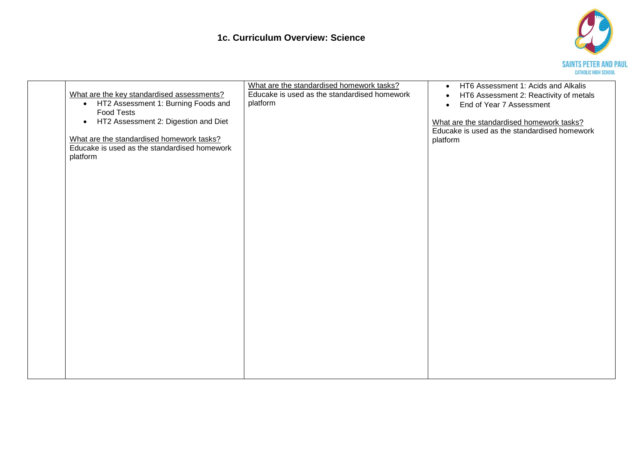## **1c. Curriculum Overview: Science**



| What are the key standardised assessments?<br>• HT2 Assessment 1: Burning Foods and<br><b>Food Tests</b><br>• HT2 Assessment 2: Digestion and Diet<br>What are the standardised homework tasks?<br>Educake is used as the standardised homework<br>platform | What are the standardised homework tasks?<br>Educake is used as the standardised homework<br>platform | HT6 Assessment 1: Acids and Alkalis<br>$\bullet$<br>HT6 Assessment 2: Reactivity of metals<br>End of Year 7 Assessment<br>$\bullet$<br>What are the standardised homework tasks?<br>Educake is used as the standardised homework<br>platform |
|-------------------------------------------------------------------------------------------------------------------------------------------------------------------------------------------------------------------------------------------------------------|-------------------------------------------------------------------------------------------------------|----------------------------------------------------------------------------------------------------------------------------------------------------------------------------------------------------------------------------------------------|
|                                                                                                                                                                                                                                                             |                                                                                                       |                                                                                                                                                                                                                                              |
|                                                                                                                                                                                                                                                             |                                                                                                       |                                                                                                                                                                                                                                              |
|                                                                                                                                                                                                                                                             |                                                                                                       |                                                                                                                                                                                                                                              |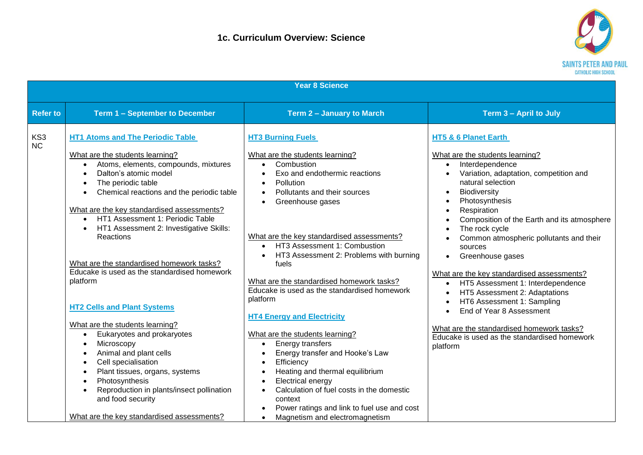

| <b>Year 8 Science</b> |                                                                                                                                                                                                                                                                                                                                                                                                                                                                                                                                                                                                                                                                                                                                                                                                                                                                                                        |                                                                                                                                                                                                                                                                                                                                                                                                                                                                                                                                                                                                                                                                                                                                                                                                                                       |                                                                                                                                                                                                                                                                                                                                                                                                                                                                                                                                                                                                                                                                                                                                                                                                     |  |
|-----------------------|--------------------------------------------------------------------------------------------------------------------------------------------------------------------------------------------------------------------------------------------------------------------------------------------------------------------------------------------------------------------------------------------------------------------------------------------------------------------------------------------------------------------------------------------------------------------------------------------------------------------------------------------------------------------------------------------------------------------------------------------------------------------------------------------------------------------------------------------------------------------------------------------------------|---------------------------------------------------------------------------------------------------------------------------------------------------------------------------------------------------------------------------------------------------------------------------------------------------------------------------------------------------------------------------------------------------------------------------------------------------------------------------------------------------------------------------------------------------------------------------------------------------------------------------------------------------------------------------------------------------------------------------------------------------------------------------------------------------------------------------------------|-----------------------------------------------------------------------------------------------------------------------------------------------------------------------------------------------------------------------------------------------------------------------------------------------------------------------------------------------------------------------------------------------------------------------------------------------------------------------------------------------------------------------------------------------------------------------------------------------------------------------------------------------------------------------------------------------------------------------------------------------------------------------------------------------------|--|
| <b>Refer to</b>       | <b>Term 1 - September to December</b>                                                                                                                                                                                                                                                                                                                                                                                                                                                                                                                                                                                                                                                                                                                                                                                                                                                                  | Term 2 - January to March                                                                                                                                                                                                                                                                                                                                                                                                                                                                                                                                                                                                                                                                                                                                                                                                             | Term 3 - April to July                                                                                                                                                                                                                                                                                                                                                                                                                                                                                                                                                                                                                                                                                                                                                                              |  |
| KS3<br>NC             | <b>HT1 Atoms and The Periodic Table</b><br>What are the students learning?<br>Atoms, elements, compounds, mixtures<br>$\bullet$<br>Dalton's atomic model<br>$\bullet$<br>The periodic table<br>Chemical reactions and the periodic table<br>$\bullet$<br>What are the key standardised assessments?<br>HT1 Assessment 1: Periodic Table<br>$\bullet$<br>HT1 Assessment 2: Investigative Skills:<br>Reactions<br>What are the standardised homework tasks?<br>Educake is used as the standardised homework<br>platform<br><b>HT2 Cells and Plant Systems</b><br>What are the students learning?<br>Eukaryotes and prokaryotes<br>$\bullet$<br>Microscopy<br>Animal and plant cells<br>Cell specialisation<br>$\bullet$<br>Plant tissues, organs, systems<br>$\bullet$<br>Photosynthesis<br>Reproduction in plants/insect pollination<br>and food security<br>What are the key standardised assessments? | <b>HT3 Burning Fuels</b><br>What are the students learning?<br>Combustion<br>$\bullet$<br>Exo and endothermic reactions<br>Pollution<br>Pollutants and their sources<br>$\bullet$<br>Greenhouse gases<br>$\bullet$<br>What are the key standardised assessments?<br>HT3 Assessment 1: Combustion<br>$\bullet$<br>HT3 Assessment 2: Problems with burning<br>fuels<br>What are the standardised homework tasks?<br>Educake is used as the standardised homework<br>platform<br><b>HT4 Energy and Electricity</b><br>What are the students learning?<br>Energy transfers<br>$\bullet$<br>Energy transfer and Hooke's Law<br>Efficiency<br>Heating and thermal equilibrium<br>Electrical energy<br>Calculation of fuel costs in the domestic<br>context<br>Power ratings and link to fuel use and cost<br>Magnetism and electromagnetism | <b>HT5 &amp; 6 Planet Earth</b><br>What are the students learning?<br>Interdependence<br>$\bullet$<br>Variation, adaptation, competition and<br>$\bullet$<br>natural selection<br>Biodiversity<br>$\bullet$<br>Photosynthesis<br>$\bullet$<br>Respiration<br>$\bullet$<br>Composition of the Earth and its atmosphere<br>$\bullet$<br>The rock cycle<br>$\bullet$<br>Common atmospheric pollutants and their<br>sources<br>Greenhouse gases<br>$\bullet$<br>What are the key standardised assessments?<br>HT5 Assessment 1: Interdependence<br>$\bullet$<br>HT5 Assessment 2: Adaptations<br>$\bullet$<br>HT6 Assessment 1: Sampling<br>$\bullet$<br>End of Year 8 Assessment<br>$\bullet$<br>What are the standardised homework tasks?<br>Educake is used as the standardised homework<br>platform |  |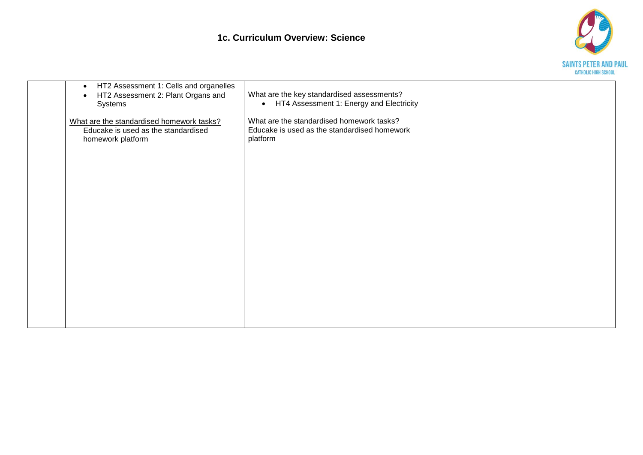

| HT2 Assessment 1: Cells and organelles<br>$\bullet$<br>HT2 Assessment 2: Plant Organs and<br>$\bullet$<br>Systems | What are the key standardised assessments?<br>• HT4 Assessment 1: Energy and Electricity              |  |
|-------------------------------------------------------------------------------------------------------------------|-------------------------------------------------------------------------------------------------------|--|
| What are the standardised homework tasks?<br>Educake is used as the standardised<br>homework platform             | What are the standardised homework tasks?<br>Educake is used as the standardised homework<br>platform |  |
|                                                                                                                   |                                                                                                       |  |
|                                                                                                                   |                                                                                                       |  |
|                                                                                                                   |                                                                                                       |  |
|                                                                                                                   |                                                                                                       |  |
|                                                                                                                   |                                                                                                       |  |
|                                                                                                                   |                                                                                                       |  |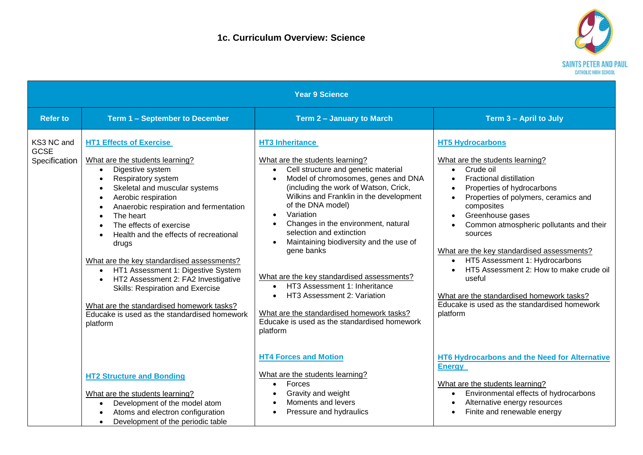

| <b>Year 9 Science</b>                      |                                                                                                                                                                                                                                                                                                                                                                                                                                                                                                                                                                                                                                                                                                                    |                                                                                                                                                                                                                                                                                                                                                                                                                                                                                                                                                                                                                                                                                                |                                                                                                                                                                                                                                                                                                                                                                                                                                                                                                                                                                           |
|--------------------------------------------|--------------------------------------------------------------------------------------------------------------------------------------------------------------------------------------------------------------------------------------------------------------------------------------------------------------------------------------------------------------------------------------------------------------------------------------------------------------------------------------------------------------------------------------------------------------------------------------------------------------------------------------------------------------------------------------------------------------------|------------------------------------------------------------------------------------------------------------------------------------------------------------------------------------------------------------------------------------------------------------------------------------------------------------------------------------------------------------------------------------------------------------------------------------------------------------------------------------------------------------------------------------------------------------------------------------------------------------------------------------------------------------------------------------------------|---------------------------------------------------------------------------------------------------------------------------------------------------------------------------------------------------------------------------------------------------------------------------------------------------------------------------------------------------------------------------------------------------------------------------------------------------------------------------------------------------------------------------------------------------------------------------|
| <b>Refer to</b>                            | Term 1 - September to December                                                                                                                                                                                                                                                                                                                                                                                                                                                                                                                                                                                                                                                                                     | Term 2 - January to March                                                                                                                                                                                                                                                                                                                                                                                                                                                                                                                                                                                                                                                                      | Term 3 - April to July                                                                                                                                                                                                                                                                                                                                                                                                                                                                                                                                                    |
| KS3 NC and<br><b>GCSE</b><br>Specification | <b>HT1 Effects of Exercise</b><br>What are the students learning?<br>Digestive system<br>$\bullet$<br>Respiratory system<br>$\bullet$<br>Skeletal and muscular systems<br>$\bullet$<br>Aerobic respiration<br>$\bullet$<br>Anaerobic respiration and fermentation<br>$\bullet$<br>The heart<br>$\bullet$<br>The effects of exercise<br>$\bullet$<br>Health and the effects of recreational<br>$\bullet$<br>drugs<br>What are the key standardised assessments?<br>HT1 Assessment 1: Digestive System<br>$\bullet$<br>HT2 Assessment 2: FA2 Investigative<br>$\bullet$<br>Skills: Respiration and Exercise<br>What are the standardised homework tasks?<br>Educake is used as the standardised homework<br>platform | <b>HT3 Inheritance</b><br>What are the students learning?<br>Cell structure and genetic material<br>$\bullet$<br>Model of chromosomes, genes and DNA<br>$\bullet$<br>(including the work of Watson, Crick,<br>Wilkins and Franklin in the development<br>of the DNA model)<br>Variation<br>$\bullet$<br>Changes in the environment, natural<br>$\bullet$<br>selection and extinction<br>Maintaining biodiversity and the use of<br>gene banks<br>What are the key standardised assessments?<br>HT3 Assessment 1: Inheritance<br>$\bullet$<br>HT3 Assessment 2: Variation<br>$\bullet$<br>What are the standardised homework tasks?<br>Educake is used as the standardised homework<br>platform | <b>HT5 Hydrocarbons</b><br>What are the students learning?<br>Crude oil<br>$\bullet$<br><b>Fractional distillation</b><br>Properties of hydrocarbons<br>Properties of polymers, ceramics and<br>$\bullet$<br>composites<br>Greenhouse gases<br>$\bullet$<br>Common atmospheric pollutants and their<br>sources<br>What are the key standardised assessments?<br>HT5 Assessment 1: Hydrocarbons<br>$\bullet$<br>HT5 Assessment 2: How to make crude oil<br>useful<br>What are the standardised homework tasks?<br>Educake is used as the standardised homework<br>platform |
|                                            | <b>HT2 Structure and Bonding</b><br>What are the students learning?<br>Development of the model atom<br>$\bullet$<br>Atoms and electron configuration<br>$\bullet$<br>Development of the periodic table<br>$\bullet$                                                                                                                                                                                                                                                                                                                                                                                                                                                                                               | <b>HT4 Forces and Motion</b><br>What are the students learning?<br>Forces<br>$\bullet$<br>Gravity and weight<br>$\bullet$<br>Moments and levers<br>$\bullet$<br>Pressure and hydraulics<br>$\bullet$                                                                                                                                                                                                                                                                                                                                                                                                                                                                                           | HT6 Hydrocarbons and the Need for Alternative<br><b>Energy</b><br>What are the students learning?<br>Environmental effects of hydrocarbons<br>$\bullet$<br>Alternative energy resources<br>$\bullet$<br>Finite and renewable energy                                                                                                                                                                                                                                                                                                                                       |